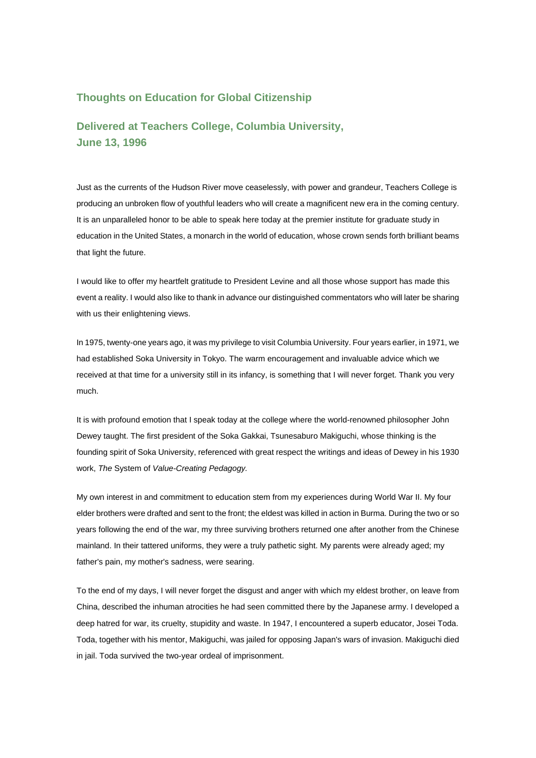## **Thoughts on Education for Global Citizenship**

## **Delivered at Teachers College, Columbia University, June 13, 1996**

Just as the currents of the Hudson River move ceaselessly, with power and grandeur, Teachers College is producing an unbroken flow of youthful leaders who will create a magnificent new era in the coming century. It is an unparalleled honor to be able to speak here today at the premier institute for graduate study in education in the United States, a monarch in the world of education, whose crown sends forth brilliant beams that light the future.

I would like to offer my heartfelt gratitude to President Levine and all those whose support has made this event a reality. I would also like to thank in advance our distinguished commentators who will later be sharing with us their enlightening views.

In 1975, twenty-one years ago, it was my privilege to visit Columbia University. Four years earlier, in 1971, we had established Soka University in Tokyo. The warm encouragement and invaluable advice which we received at that time for a university still in its infancy, is something that I will never forget. Thank you very much.

It is with profound emotion that I speak today at the college where the world-renowned philosopher John Dewey taught. The first president of the Soka Gakkai, Tsunesaburo Makiguchi, whose thinking is the founding spirit of Soka University, referenced with great respect the writings and ideas of Dewey in his 1930 work, *The* System of *Value-Creating Pedagogy.*

My own interest in and commitment to education stem from my experiences during World War II. My four elder brothers were drafted and sent to the front; the eldest was killed in action in Burma. During the two or so years following the end of the war, my three surviving brothers returned one after another from the Chinese mainland. In their tattered uniforms, they were a truly pathetic sight. My parents were already aged; my father's pain, my mother's sadness, were searing.

To the end of my days, I will never forget the disgust and anger with which my eldest brother, on leave from China, described the inhuman atrocities he had seen committed there by the Japanese army. I developed a deep hatred for war, its cruelty, stupidity and waste. In 1947, I encountered a superb educator, Josei Toda. Toda, together with his mentor, Makiguchi, was jailed for opposing Japan's wars of invasion. Makiguchi died in jail. Toda survived the two-year ordeal of imprisonment.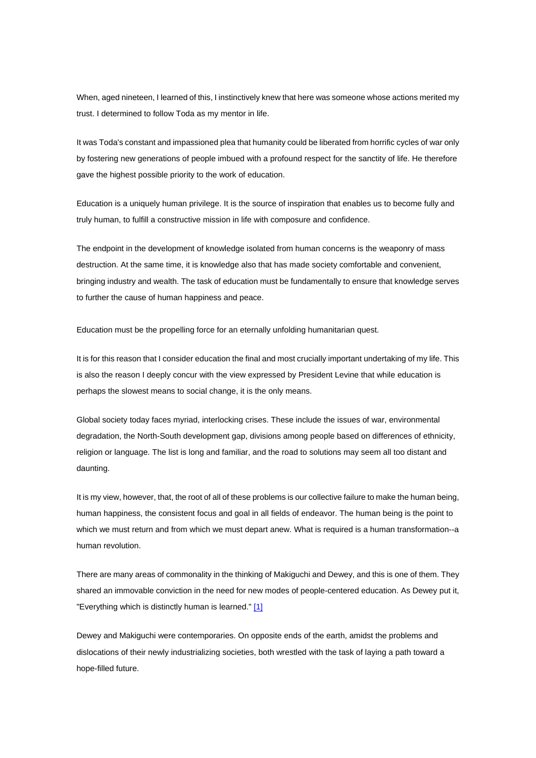When, aged nineteen, I learned of this, I instinctively knew that here was someone whose actions merited my trust. I determined to follow Toda as my mentor in life.

It was Toda's constant and impassioned plea that humanity could be liberated from horrific cycles of war only by fostering new generations of people imbued with a profound respect for the sanctity of life. He therefore gave the highest possible priority to the work of education.

Education is a uniquely human privilege. It is the source of inspiration that enables us to become fully and truly human, to fulfill a constructive mission in life with composure and confidence.

The endpoint in the development of knowledge isolated from human concerns is the weaponry of mass destruction. At the same time, it is knowledge also that has made society comfortable and convenient, bringing industry and wealth. The task of education must be fundamentally to ensure that knowledge serves to further the cause of human happiness and peace.

Education must be the propelling force for an eternally unfolding humanitarian quest.

It is for this reason that I consider education the final and most crucially important undertaking of my life. This is also the reason I deeply concur with the view expressed by President Levine that while education is perhaps the slowest means to social change, it is the only means.

Global society today faces myriad, interlocking crises. These include the issues of war, environmental degradation, the North-South development gap, divisions among people based on differences of ethnicity, religion or language. The list is long and familiar, and the road to solutions may seem all too distant and daunting.

It is my view, however, that, the root of all of these problems is our collective failure to make the human being, human happiness, the consistent focus and goal in all fields of endeavor. The human being is the point to which we must return and from which we must depart anew. What is required is a human transformation--a human revolution.

There are many areas of commonality in the thinking of Makiguchi and Dewey, and this is one of them. They shared an immovable conviction in the need for new modes of people-centered education. As Dewey put it, "Everything which is distinctly human is learned." [\[1\]](http://www.sgi.org/english/President/speeches/thoughts.htm#1)

Dewey and Makiguchi were contemporaries. On opposite ends of the earth, amidst the problems and dislocations of their newly industrializing societies, both wrestled with the task of laying a path toward a hope-filled future.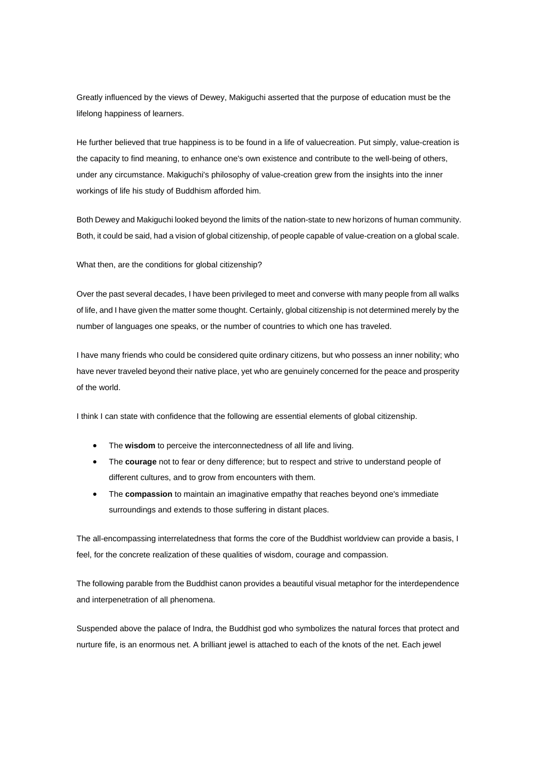Greatly influenced by the views of Dewey, Makiguchi asserted that the purpose of education must be the lifelong happiness of learners.

He further believed that true happiness is to be found in a life of valuecreation. Put simply, value-creation is the capacity to find meaning, to enhance one's own existence and contribute to the well-being of others, under any circumstance. Makiguchi's philosophy of value-creation grew from the insights into the inner workings of life his study of Buddhism afforded him.

Both Dewey and Makiguchi looked beyond the limits of the nation-state to new horizons of human community. Both, it could be said, had a vision of global citizenship, of people capable of value-creation on a global scale.

What then, are the conditions for global citizenship?

Over the past several decades, I have been privileged to meet and converse with many people from all walks of life, and I have given the matter some thought. Certainly, global citizenship is not determined merely by the number of languages one speaks, or the number of countries to which one has traveled.

I have many friends who could be considered quite ordinary citizens, but who possess an inner nobility; who have never traveled beyond their native place, yet who are genuinely concerned for the peace and prosperity of the world.

I think I can state with confidence that the following are essential elements of global citizenship.

- The **wisdom** to perceive the interconnectedness of all life and living.
- The **courage** not to fear or deny difference; but to respect and strive to understand people of different cultures, and to grow from encounters with them.
- The **compassion** to maintain an imaginative empathy that reaches beyond one's immediate surroundings and extends to those suffering in distant places.

The all-encompassing interrelatedness that forms the core of the Buddhist worldview can provide a basis, I feel, for the concrete realization of these qualities of wisdom, courage and compassion.

The following parable from the Buddhist canon provides a beautiful visual metaphor for the interdependence and interpenetration of all phenomena.

Suspended above the palace of Indra, the Buddhist god who symbolizes the natural forces that protect and nurture fife, is an enormous net. A brilliant jewel is attached to each of the knots of the net. Each jewel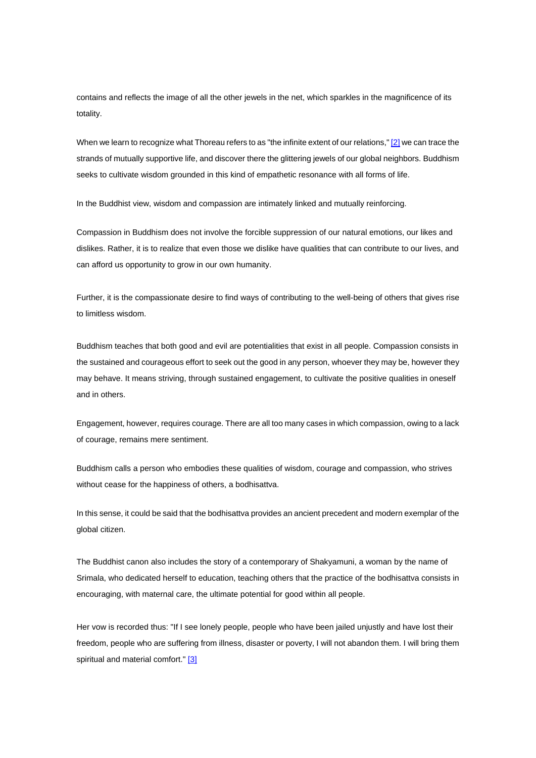contains and reflects the image of all the other jewels in the net, which sparkles in the magnificence of its totality.

When we learn to recognize what Thoreau refers to as "the infinite extent of our relations," [\[2\]](http://www.sgi.org/english/President/speeches/thoughts.htm#2) we can trace the strands of mutually supportive life, and discover there the glittering jewels of our global neighbors. Buddhism seeks to cultivate wisdom grounded in this kind of empathetic resonance with all forms of life.

In the Buddhist view, wisdom and compassion are intimately linked and mutually reinforcing.

Compassion in Buddhism does not involve the forcible suppression of our natural emotions, our likes and dislikes. Rather, it is to realize that even those we dislike have qualities that can contribute to our lives, and can afford us opportunity to grow in our own humanity.

Further, it is the compassionate desire to find ways of contributing to the well-being of others that gives rise to limitless wisdom.

Buddhism teaches that both good and evil are potentialities that exist in all people. Compassion consists in the sustained and courageous effort to seek out the good in any person, whoever they may be, however they may behave. It means striving, through sustained engagement, to cultivate the positive qualities in oneself and in others.

Engagement, however, requires courage. There are all too many cases in which compassion, owing to a lack of courage, remains mere sentiment.

Buddhism calls a person who embodies these qualities of wisdom, courage and compassion, who strives without cease for the happiness of others, a bodhisattva.

In this sense, it could be said that the bodhisattva provides an ancient precedent and modern exemplar of the global citizen.

The Buddhist canon also includes the story of a contemporary of Shakyamuni, a woman by the name of Srimala, who dedicated herself to education, teaching others that the practice of the bodhisattva consists in encouraging, with maternal care, the ultimate potential for good within all people.

Her vow is recorded thus: "If I see lonely people, people who have been jailed unjustly and have lost their freedom, people who are suffering from illness, disaster or poverty, I will not abandon them. I will bring them spiritual and material comfort." [\[3\]](http://www.sgi.org/english/President/speeches/thoughts.htm#3)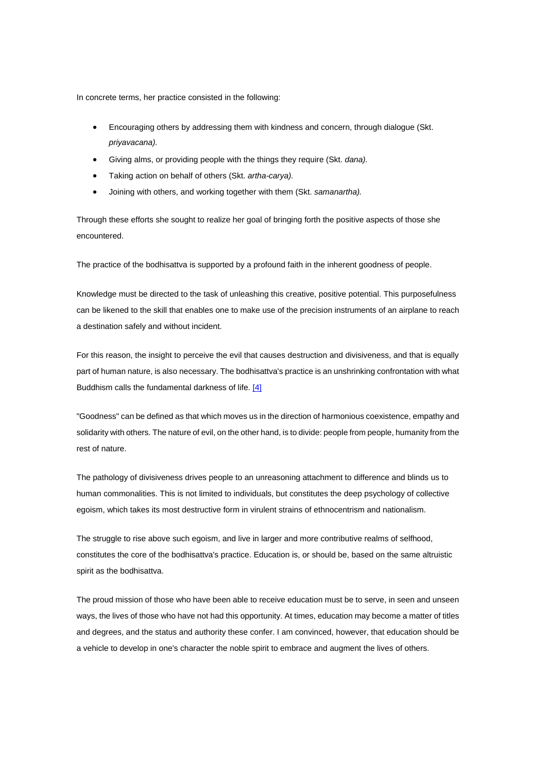In concrete terms, her practice consisted in the following:

- Encouraging others by addressing them with kindness and concern, through dialogue (Skt. *priyavacana).*
- Giving alms, or providing people with the things they require (Skt. *dana).*
- Taking action on behalf of others (Skt. *artha-carya).*
- Joining with others, and working together with them (Skt. *samanartha).*

Through these efforts she sought to realize her goal of bringing forth the positive aspects of those she encountered.

The practice of the bodhisattva is supported by a profound faith in the inherent goodness of people.

Knowledge must be directed to the task of unleashing this creative, positive potential. This purposefulness can be likened to the skill that enables one to make use of the precision instruments of an airplane to reach a destination safely and without incident.

For this reason, the insight to perceive the evil that causes destruction and divisiveness, and that is equally part of human nature, is also necessary. The bodhisattva's practice is an unshrinking confrontation with what Buddhism calls the fundamental darkness of life. [\[4\]](http://www.sgi.org/english/President/speeches/thoughts.htm#4)

"Goodness" can be defined as that which moves us in the direction of harmonious coexistence, empathy and solidarity with others. The nature of evil, on the other hand, is to divide: people from people, humanity from the rest of nature.

The pathology of divisiveness drives people to an unreasoning attachment to difference and blinds us to human commonalities. This is not limited to individuals, but constitutes the deep psychology of collective egoism, which takes its most destructive form in virulent strains of ethnocentrism and nationalism.

The struggle to rise above such egoism, and live in larger and more contributive realms of selfhood, constitutes the core of the bodhisattva's practice. Education is, or should be, based on the same altruistic spirit as the bodhisattva.

The proud mission of those who have been able to receive education must be to serve, in seen and unseen ways, the lives of those who have not had this opportunity. At times, education may become a matter of titles and degrees, and the status and authority these confer. I am convinced, however, that education should be a vehicle to develop in one's character the noble spirit to embrace and augment the lives of others.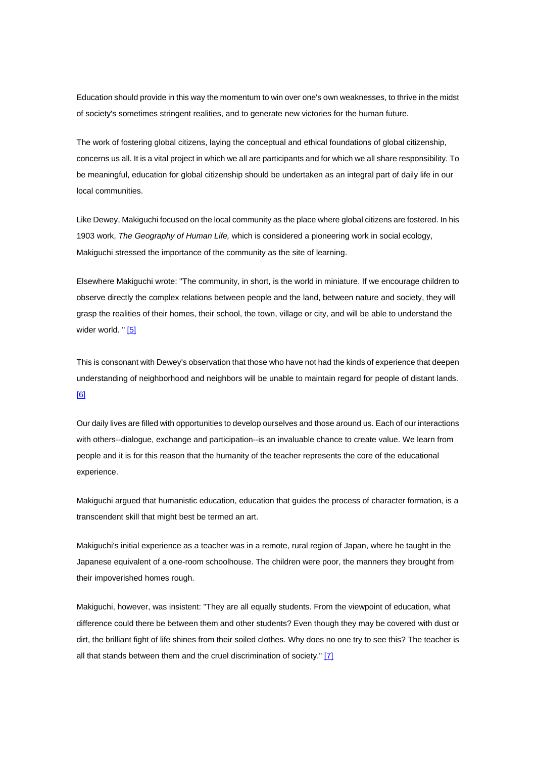Education should provide in this way the momentum to win over one's own weaknesses, to thrive in the midst of society's sometimes stringent realities, and to generate new victories for the human future.

The work of fostering global citizens, laying the conceptual and ethical foundations of global citizenship, concerns us all. It is a vital project in which we all are participants and for which we all share responsibility. To be meaningful, education for global citizenship should be undertaken as an integral part of daily life in our local communities.

Like Dewey, Makiguchi focused on the local community as the place where global citizens are fostered. In his 1903 work, *The Geography of Human Life,* which is considered a pioneering work in social ecology, Makiguchi stressed the importance of the community as the site of learning.

Elsewhere Makiguchi wrote: "The community, in short, is the world in miniature. If we encourage children to observe directly the complex relations between people and the land, between nature and society, they will grasp the realities of their homes, their school, the town, village or city, and will be able to understand the wider world. " [\[5\]](http://www.sgi.org/english/President/speeches/thoughts.htm#5)

This is consonant with Dewey's observation that those who have not had the kinds of experience that deepen understanding of neighborhood and neighbors will be unable to maintain regard for people of distant lands. [\[6\]](http://www.sgi.org/english/President/speeches/thoughts.htm#6)

Our daily lives are filled with opportunities to develop ourselves and those around us. Each of our interactions with others--dialogue, exchange and participation--is an invaluable chance to create value. We learn from people and it is for this reason that the humanity of the teacher represents the core of the educational experience.

Makiguchi argued that humanistic education, education that guides the process of character formation, is a transcendent skill that might best be termed an art.

Makiguchi's initial experience as a teacher was in a remote, rural region of Japan, where he taught in the Japanese equivalent of a one-room schoolhouse. The children were poor, the manners they brought from their impoverished homes rough.

Makiguchi, however, was insistent: "They are all equally students. From the viewpoint of education, what difference could there be between them and other students? Even though they may be covered with dust or dirt, the brilliant fight of life shines from their soiled clothes. Why does no one try to see this? The teacher is all that stands between them and the cruel discrimination of society." [\[7\]](http://www.sgi.org/english/President/speeches/thoughts.htm#7)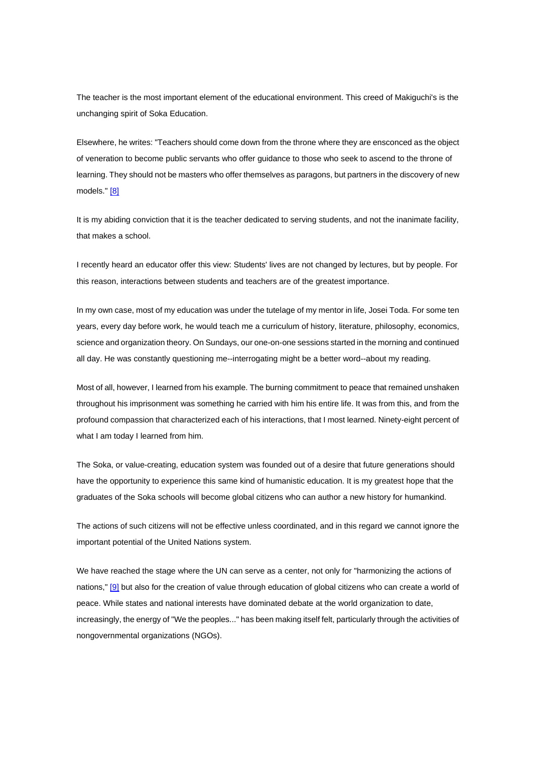The teacher is the most important element of the educational environment. This creed of Makiguchi's is the unchanging spirit of Soka Education.

Elsewhere, he writes: "Teachers should come down from the throne where they are ensconced as the object of veneration to become public servants who offer guidance to those who seek to ascend to the throne of learning. They should not be masters who offer themselves as paragons, but partners in the discovery of new models." [\[8\]](http://www.sgi.org/english/President/speeches/thoughts.htm#8)

It is my abiding conviction that it is the teacher dedicated to serving students, and not the inanimate facility, that makes a school.

I recently heard an educator offer this view: Students' lives are not changed by lectures, but by people. For this reason, interactions between students and teachers are of the greatest importance.

In my own case, most of my education was under the tutelage of my mentor in life, Josei Toda. For some ten years, every day before work, he would teach me a curriculum of history, literature, philosophy, economics, science and organization theory. On Sundays, our one-on-one sessions started in the morning and continued all day. He was constantly questioning me--interrogating might be a better word--about my reading.

Most of all, however, I learned from his example. The burning commitment to peace that remained unshaken throughout his imprisonment was something he carried with him his entire life. It was from this, and from the profound compassion that characterized each of his interactions, that I most learned. Ninety-eight percent of what I am today I learned from him.

The Soka, or value-creating, education system was founded out of a desire that future generations should have the opportunity to experience this same kind of humanistic education. It is my greatest hope that the graduates of the Soka schools will become global citizens who can author a new history for humankind.

The actions of such citizens will not be effective unless coordinated, and in this regard we cannot ignore the important potential of the United Nations system.

We have reached the stage where the UN can serve as a center, not only for "harmonizing the actions of nations," [\[9\]](http://www.sgi.org/english/President/speeches/thoughts.htm#9) but also for the creation of value through education of global citizens who can create a world of peace. While states and national interests have dominated debate at the world organization to date, increasingly, the energy of "We the peoples..." has been making itself felt, particularly through the activities of nongovernmental organizations (NGOs).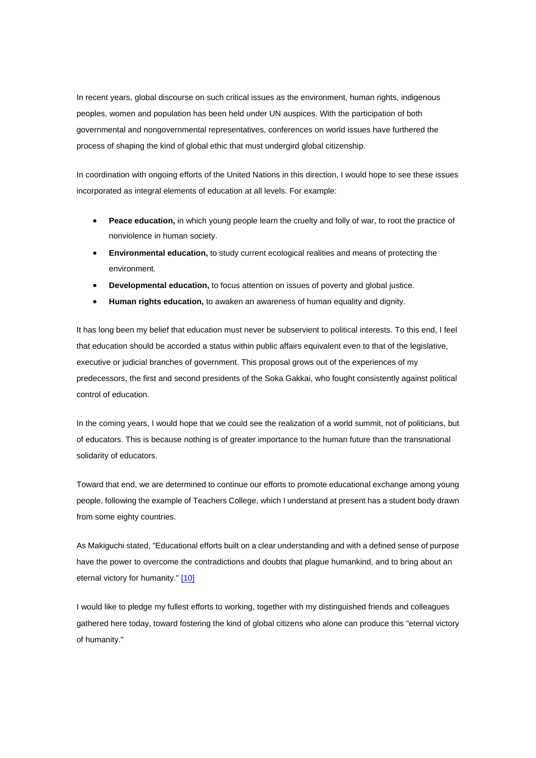In recent years, global discourse on such critical issues as the environment, human rights, indigenous peoples, women and population has been held under UN auspices. With the participation of both governmental and nongovernmental representatives, conferences on world issues have furthered the process of shaping the kind of global ethic that must undergird global citizenship.

In coordination with ongoing efforts of the United Nations in this direction, I would hope to see these issues incorporated as integral elements of education at all levels. For example:

- **Peace education,** in which young people learn the cruelty and folly of war, to root the practice of nonviolence in human society.
- **Environmental education,** to study current ecological realities and means of protecting the environment.
- **Developmental education,** to focus attention on issues of poverty and global justice.
- **Human rights education,** to awaken an awareness of human equality and dignity.

It has long been my belief that education must never be subservient to political interests. To this end, I feel that education should be accorded a status within public affairs equivalent even to that of the legislative, executive or judicial branches of government. This proposal grows out of the experiences of my predecessors, the first and second presidents of the Soka Gakkai, who fought consistently against political control of education.

In the coming years, I would hope that we could see the realization of a world summit, not of politicians, but of educators. This is because nothing is of greater importance to the human future than the transnational solidarity of educators.

Toward that end, we are determined to continue our efforts to promote educational exchange among young people, following the example of Teachers College, which I understand at present has a student body drawn from some eighty countries.

As Makiguchi stated, "Educational efforts built on a clear understanding and with a defined sense of purpose have the power to overcome the contradictions and doubts that plague humankind, and to bring about an eternal victory for humanity." [\[10\]](http://www.sgi.org/english/President/speeches/thoughts.htm#10)

I would like to pledge my fullest efforts to working, together with my distinguished friends and colleagues gathered here today, toward fostering the kind of global citizens who alone can produce this "eternal victory of humanity."